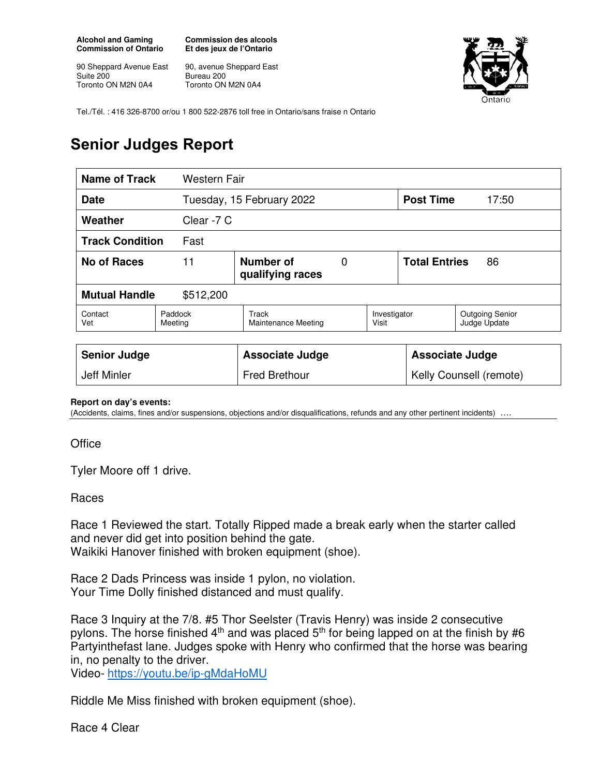**Alcohol and Gaming Commission of Ontario** 

90 Sheppard Avenue East Suite 200 Toronto ON M2N 0A4

**Commission des alcools Et des jeux de l'Ontario** 

90, avenue Sheppard East Bureau 200 Toronto ON M2N 0A4



Tel./Tél. : 416 326-8700 or/ou 1 800 522-2876 toll free in Ontario/sans fraise n Ontario

## **Senior Judges Report**

| Name of Track                     | Western Fair                                          |                                     |  |                            |                        |                                        |
|-----------------------------------|-------------------------------------------------------|-------------------------------------|--|----------------------------|------------------------|----------------------------------------|
| <b>Date</b>                       |                                                       | Tuesday, 15 February 2022           |  |                            | <b>Post Time</b>       | 17:50                                  |
| Weather                           |                                                       | Clear -7 C                          |  |                            |                        |                                        |
| <b>Track Condition</b><br>Fast    |                                                       |                                     |  |                            |                        |                                        |
| <b>No of Races</b>                | 11<br>Number of<br>$\overline{0}$<br>qualifying races |                                     |  | <b>Total Entries</b><br>86 |                        |                                        |
| <b>Mutual Handle</b><br>\$512,200 |                                                       |                                     |  |                            |                        |                                        |
| Contact<br>Vet                    | Paddock<br>Meeting                                    | Track<br><b>Maintenance Meeting</b> |  | Investigator<br>Visit      |                        | <b>Outgoing Senior</b><br>Judge Update |
|                                   |                                                       |                                     |  |                            |                        |                                        |
| <b>Senior Judge</b>               |                                                       | <b>Associate Judge</b>              |  |                            | <b>Associate Judge</b> |                                        |
| Jeff Minler                       |                                                       | <b>Fred Brethour</b>                |  | Kelly Counsell (remote)    |                        |                                        |

## **Report on day's events:**

(Accidents, claims, fines and/or suspensions, objections and/or disqualifications, refunds and any other pertinent incidents) ….

**Office** 

Tyler Moore off 1 drive.

## Races

Race 1 Reviewed the start. Totally Ripped made a break early when the starter called and never did get into position behind the gate. Waikiki Hanover finished with broken equipment (shoe).

Race 2 Dads Princess was inside 1 pylon, no violation. Your Time Dolly finished distanced and must qualify.

Race 3 Inquiry at the 7/8. #5 Thor Seelster (Travis Henry) was inside 2 consecutive pylons. The horse finished  $4<sup>th</sup>$  and was placed  $5<sup>th</sup>$  for being lapped on at the finish by #6 Partyinthefast lane. Judges spoke with Henry who confirmed that the horse was bearing in, no penalty to the driver.

Video- https://youtu.be/ip-gMdaHoMU

Riddle Me Miss finished with broken equipment (shoe).